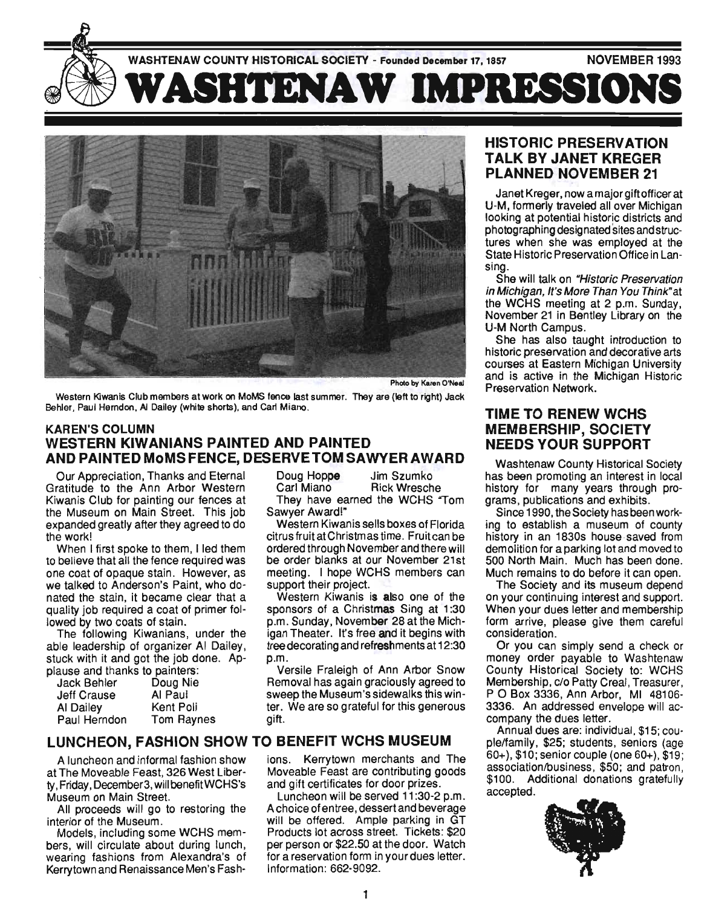

Photo by Karen O'Neal

Western Kiwanis Club members at work on MoMS fence last summer. They are (left to right) Jack Behler, Paul Herndon, AI Dailey (white shorts), and Carl Miano.

#### KAREN'S COLUMN WESTERN KIWANIANS PAINTED AND PAINTED AND PAINTED MoMS FENCE, DESERVE TOM SAWYER AWARD

Our Appreciation, Thanks and Eternal Gratitude to the Ann Arbor Western Kiwanis Club for painting our fences at the Museum on Main Street. This job expanded greatly after they agreed to do the work!

When I first spoke to them. I led them to believe that all the fence required was one coat of opaque stain. However, as we talked to Anderson's Paint, who donated the stain, it became clear that a quality job required a coat of primer followed by two coats of stain.

The following Kiwanians, under the able leadership of organizer AI Dailey. stuck with it and got the job done. Applause and thanks to painters:

| radoo ano manno lo parmoio. |            |
|-----------------------------|------------|
| <b>Jack Behler</b>          | Doug Nie   |
| <b>Jeff Crause</b>          | Al Paul    |
| Al Dailey                   | Kent Poli  |
| Paul Herndon                | Tom Raynes |
|                             |            |

Doug Hoppe Jim Szumko

Carl Miano Rick Wresche They have earned the WCHS "Tom

Sawyer Award!" Western Kiwanis sells boxes of Florida citrus fruit at Christmas time. Fruitcan be ordered through November and there will be order blanks at our November 21st meeting. I hope WCHS members can support their project.

Western Kiwanis is also one of the sponsors of a Christmas Sing at 1:30 p.m. Sunday, November 28 at the Michigan Theater. It's free and it begins with tree decorating and refreshments at 12:30 p.m.

Versile Fraleigh of Ann Arbor Snow Removal has again graciously agreed to sweep the Museum's sidewalks this winter. We are so grateful for this generous gift.

# LUNCHEON, FASHION SHOW TO BENEFIT WCHS MUSEUM

A luncheon and informal fashion show at The Moveable Feast, 326 West liberty, Friday, December3, wilibenefitWCHS's Museum on Main Street.

All proceeds will go to restoring the interior of the Museum.

Models, including some WCHS members, will circulate about during lunch, wearing fashions from Alexandra's of Kerry town and Renaissance Men's Fashions. Kerrytown merchants and The Moveable Feast are contributing goods and gift certificates for door prizes.

Luncheon will be served 11 :30-2 p.m. A choice of entree, dessert and beverage will be offered. Ample parking in GT Products lot across street. Tickets: \$20 per person or \$22.50 at the door. Watch for a reservation form in your dues letter. Information: 662-9092.

## HISTORIC PRESERVATION TALK BY JANET KREGER PLANNED NOVEMBER 21

Janet Kreger. now a major gift officer at U-M, formerly traveled all over Michigan looking at potential historic districts and photographing desig nated sites and structures when she was employed at the State Historic Preservation Office in Lansing.

She will talk on "Historic Preservation" in Michigan, It's More Than You Think" at the WCHS meeting at 2 p.m. Sunday, November 21 in Bentley Library on the U-M North Campus.

She has also taught introduction to historic preservation and decorative arts courses at Eastern Michigan University and is active in the Michigan Historic Preservation Network.

# TIME TO RENEW WCHS MEMBERSHIP, SOCIETY NEEDS YOUR SUPPORT

Washtenaw County Historical Society has been promoting an interest in local history for many years through programs, publications and exhibits.

Since 1990, the Society has been working to establish a museum of county history in an 1830s house saved from demolition for a parking lot and moved to 500 North Main. Much has been done. Much remains to do before it can open.

The Society and its museum depend on your continuing interest and support. When your dues letter and membership form arrive, please give them careful consideration.

Or you can simply send a check or money order payable to Washtenaw County Historical Society to: WCHS Membership, c/o Patty Creal, Treasurer, POBox 3336, Ann Arbor, MI 48106- 3336. An addressed envelope will accompany the dues letter.

Annual dues are: individual, \$15; couple/family. \$25; students, seniors (age 60+), \$10; senior couple (one 60+), \$19 ; association/business, \$50; and patron, \$100. Additional donations gratefully accepted.

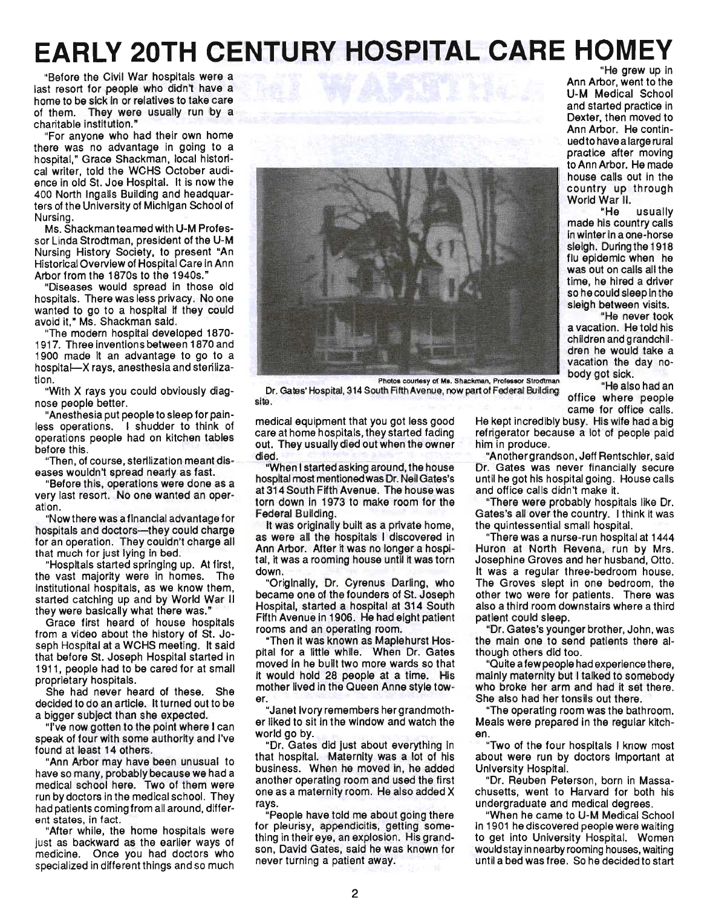# **EARLY 20TH CENTURY HOSPITAL CARE HOMEY**

"Before the Civil War hospitals were a last resort for people who didn't have a home to be sick in or relatives to take care of them. They were usually run by a charitable institution."

"For anyone who had their own home there was no advantage in going to a hospital," Grace Shackman, local historical writer, told the WCHS October audience in old st. Joe Hospital. It is now the 400 North Ingalls Building and headquarters of the University of Michigan School of Nursing.

Ms. Shackman teamed with U-M Professor Linda Strodtman, president of the U-M Nursing History Society, to present "An Historical Overview of Hospital Care in Ann Arbor from the 1870s to the 1940s."

"Diseases would spread in those old hospitals. There was less privacy. No one wanted to go to a hospital if they could avoid it," Ms. Shackman said.

The modern hospital developed 1870-1917. Three inventions between 1870 and 1900 made it an advantage to go to a hospital-X rays, anesthesia and sterilization.

"With X rays you could obviously diagnose people better.

"Anesthesia put people to sleep for painiess operations. I shudder to think of operations people had on kitchen tables before this.

"Then, of course, sterilization meant diseases wouldn't spread nearly as fast.

"Before this, operations were done as a very last resort. No one wanted an operation.

"Now there was a financial advantage for hospitals and doctors--- they could charge for an operation. They couldn't charge all that much for just lying in bed.

"Hospitals started springing up. At first, the vast majority were in homes. The institutional hospitals, as we know them, started catching up and by World War II they were basically what there was."

Grace first heard of house hospitals from a video about the history of St. Joseph Hospital at a WCHS meeting. It said that before St. Joseph Hospital started in 1911, people had to be cared for at small proprietary hospitals.

She had never heard of these. She decided to do an article. It turned out to be a bigger subject than she expected.

"I've now gotten to the point where I can speak of four with some authority and I've found at least 14 others.

"Ann Arbor may have been unusual to have so many, probably because we had a medical school here. Two of them were run by doctors in the medical school. They had patients coming from all around, different states, in fact.

"After while, the home hospitals were just as backward as the earlier ways of medicine. Once you had doctors who specialized in different things and so much

Photos courtesy of MI. Shackman. Professor Sirodtman body got sick.

Dr. Gates' Hospital, 314 South Fifth Avenue, now part of Federal Building site. Called Thospital, and Countinuin Articles, now partons could be maintain office where people

medical eqUipment that you got less good care at home hospitals, they started fading out. They usually died out when the owner died.

"When I started asking around, the house hospital most mentioned was Dr. Neil Gates's at 314 South Fifth Avenue. The house was torn down in 1973 to make room for the Federal Building.

It was originally built as a private home, as were all the hospitals I discovered in Ann Arbor. After it was no longer a hospital, it was a rooming house until it was torn down.

"Originally, Dr. Cyrenus Darling, who became one of the founders of St. Joseph Hospital, started a hospital at 314 South Fifth Avenue in 1906. He had eight patient rooms and an operating room.

"Then it was known as Maplehurst Hospital for a little while. When Dr. Gates moved in he built two more wards so that it would hold 28 people at a time. His mother lived in the Queen Anne style tower.

"Janet Ivory remembers her grandmother liked to sit in the window and watch the world go by.

"Dr. Gates did just about everything in that hospital. Maternity was a lot of his business. When he moved in, he added another operating room and used the first one as a maternity room. He also added X rays.

"People have told me about going there for pleurisy, appendicitis, getting something in their eye, an explosion. His grandson, David Gates, said he was known for never turning a patient away.

He kept incredibly busy. His wife had a big refrigerator because a lot of people paid him in produce.

"Another grandson, Jeff Rentschler, said Dr. Gates was never financially secure until he got his hospital going. House calls and office calls didn't make it.

"There were probably hospitals like Dr. Gates's all over the country. I think it was the quintessential small hospital.

"There was a nurse-run hospital at 1444 Huron at North Revena, run by Mrs. Josephine Groves and her husband, Otto. It was a regular three-bedroom house. The Groves slept in one bedroom, the other two were for patients. There was also a third room downstairs where a third patient could sleep.

"Dr. Gates's younger brother, John, was the main one to send patients there although others did too.

"Quite a few people had experience there, mainly maternity but I talked to somebody who broke her arm and had it set there. She also had her tonsils out there.

"The operating room was the bathroom. Meals were prepared in the regular kitchen.

"Two of the four hospitals I know most about were run by doctors important at University Hospital.

"Dr. Reuben Peterson, born in Massachusetts, went to Harvard for both his undergraduate and medical degrees.

"When he came to U-M Medical School in 1901 he discovered people were waiting to get into University Hospital. Women would stay in nearby rooming houses, waiting until a bed was free. So he decided to start



"He grew up in Ann Arbor, went to the U-M Medical School and started practice in

Dexter, then moved to Ann Arbor. He continued to have a large ru ral practice after moving to Ann Arbor. He made house calls out in the country up through World War II.

"He usually made his country calls in winter in a one-horse sleigh. During the 1918 flu epidemic when he was out on calls all the time, he hired a driver so he could sleep in the sleigh between visits.

"He never took a vacation. He told his children and grandchildren he wouid take a vacation the day no-

came for office calls.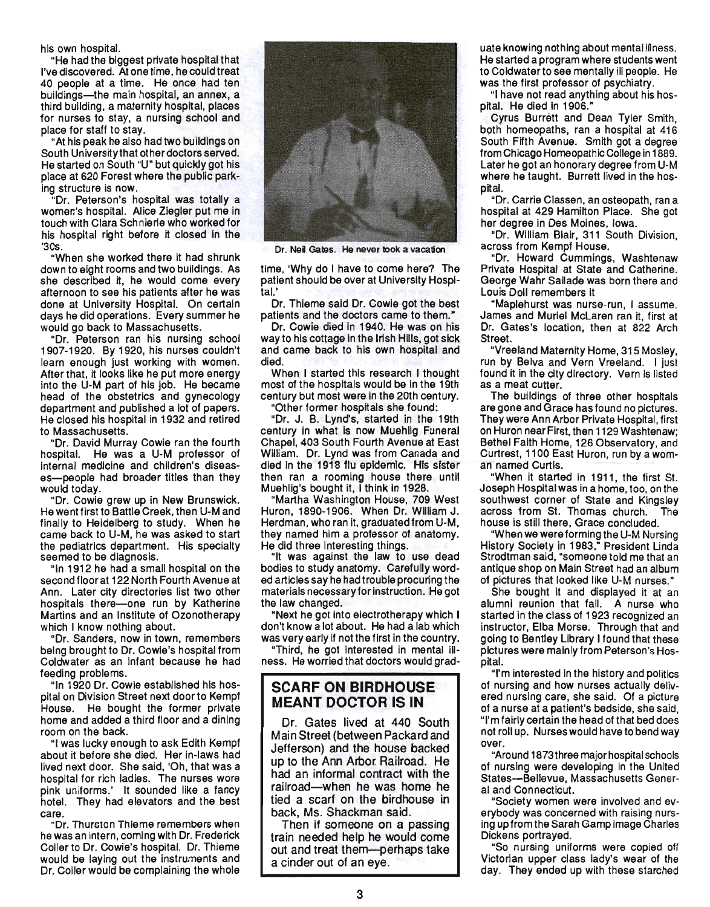his own hospital.

"He had the biggest private hospital that I've discovered. At one time, he could treat .40 people at a time. He once had ten buildings-the main hospital, an annex, a third building, a maternity hospital, places for nurses to stay, a nursing school and place for staff to stay.

"At his peak he also had two buildings on South University that other doctors served. He started on South "U" but quickly got his place at 620 Forest where the public parking structure is now.

"Dr. Peterson's hospital was totally a women's hospital. Alice Ziegler put me in touch with Clara Schnierle who worked for his hospital right before it closed in the '30s.

"When she worked there it had shrunk down to eight rooms and two buildings. As she described it, he would come every afternoon to see his patients after he was done at University Hospital. On certain days he did operations. Every summer he would go back to Massachusetts.

"Dr. Peterson ran his nursing school 1907-1920. By 1920, his nurses couldn't learn enough just working with women. After that, it looks like he put more energy into the U-M part of his job. He became head of the obstetrics and gynecology department and published a lot of papers. He closed his hospital in 1932 and retired to Massachusetts.

"Dr. David Murray Cowie ran the fourth hospital. He was a U-M professor of internal medicine and children's diseases-people had broader titles than they would today.

"Dr. Cowie grew up in New Brunswick. He went first to Battle Creek, then U-M and finally to Heidelberg to study. When he came back to U-M, he was asked to start the pediatrics department. His specialty seemed to be diagnosis.

"In 1912 he had a small hospital on the second floor at 122 North Fourth Avenue at Ann. Later city directories list two other hospitals there-one run by Katherine Martins and an Institute of Ozonotherapy which I know nothing about.

"Dr. Sanders, now in town, remembers being brought to Dr. Cowie's hospital from Coldwater as an infant because he had feeding problems.

"In 1920 Dr. Cowie established his hospital on Division Street next door to Kempf House. He bought the former private home and added a third floor and a dining room on the back.

"I was lucky enough to ask Edith Kempf about it before she died. Her in-laws had lived next door. She said, 'Oh, that was a hospital for rich ladies. The nurses wore pink uniforms.' It sounded like a fancy hotel. They had elevators and the best care.

"Dr. Thurston Thieme remembers when he was an intern, coming with Dr. Frederick Coller to Dr. Cowie's hospital. Dr. Thieme would be laying out the instruments and Dr. Coller would be complaining the whole



Dr. Neil Gates. He never took a vacation

time, 'Why do I have to come here? The patient should be over at University Hospital.'

Dr. Thieme said Dr. Cowie got the best patients and the doctors came to them."

Dr. Cowie died in 1940. He was on his way to his cottage in the Irish Hills, got sick and came back to his own hospital and died.

When I started this research I thought most of the hospitals would be in the 19th century but most were in the 20th century. "Other former hospitals she found:

"Dr. J. B. Lynd's, started in the 19th century. in what is now Muehlig Funeral Chapel, 403 South Fourth Avenue at East William. Dr. Lynd was from Canada and died in the 1918 flu epidemic. His sister then ran a rooming house there until Muehlig's bought it, I think In 1928.

"Martha Washington House, 709 West Huron, 1890-1906. When Dr. William J. Herdman, who ran it, graduated from U-M, they named him a professor of anatomy. He did three interesting things.

"It was against the law to use dead bodies to study anatomy. Carefully worded articles say he had trouble procuring the materials necessary for instruction. He got the law changed.

"Next he got into electrotherapy which I don't know a lot about. He had a lab which was very early if not the first in the country.

"Third, he got interested in mental illness. He worried that doctors would grad-

#### **SCARF ON BIRDHOUSE MEANT DOCTOR IS IN**

Dr. Gates lived at 440 South Main Street (between Packard and Jefferson) and the house backed up to the Ann Arbor. Railroad. He had an informal contract with the railroad-when he was home he tied a scarf on the birdhouse in back, Ms. Shackman said.

Then if someone on a passing train needed help he would come out and treat them-perhaps take a cinder out of an eye.

uate knowing nothing about mental illness. He started a program where students went to Coldwater to see mentally ill people. He was the first professor of psychiatry.

"I have not read anything about his hospital. He died in 1906."

Cyrus Burrett and Dean Tyler Smith, both homeopaths, ran a hospital at 416 South Fifth Avenue. Smith got a degree from Chicago Homeopathic College in 1889. Later he got an honorary degree from U-M where he taught. Burrett lived in the hospital.

"Dr. Carrie Classen, an osteopath, ran a hospital at 429 Hamilton Place. She got her degree in Des Moines, Iowa.

"Dr. William Blair, 311 South Division, across from Kempf House.

"Dr. Howard Cummings, Washtenaw Private HOSpital at State and Catherine. George Wahr Sallade was born there and Louis Doll remembers it

"Maplehurst was nurse-run, I assume. James and Muriel McLaren ran it, first at Dr. Gates's location, then at 822 Arch Street.

"Vreeland Maternity Home, 315 Mosley, run by Belva and Vern Vreeland. I just found it in the city directory. Vern is listed as a meat cutter.

The buildings of three other hospitals are gone and Grace has found no pictures. They were Ann Arbor Private Hospital, first on Huron near First, then 1129Washtenaw; Bethel Faith Home, 126 Observatory, and Curtrest, 1100 East Huron, run by a woman named Curtis.

"When it started in 1911, the first St. Joseph Hospital was in a home, too, on the southwest corner of State and Kingsley across from St. Thomas church. house is still there, Grace concluded.

"When we were forming the U-M Nursing History Society in 1983," President Linda Strodtman said, "someone told me that an antique shop on Main Street had an album of pictures that looked like U-M nurses."

She bought it and displayed it at an alumni reunion that fall. A nurse who started in the class of 1923 recognized an instructor, Elba Morse. Through that and going to Bentley Library I found that these pictures were mainly from Peterson's Hospital.

"I'm interested in the history and politics of nursing and how nurses actually delivered nursing care, she said. Of a picture of a nurse at a patient's bedside, she said, "I'm fairly certain the head of that bed does not roll up. Nurses would have to bend way over.

"Around 1873three major hospital schools of nursing were developing in the United States-Bellevue, Massachusetts General and Connecticut.

"Society women were involved and everybody was concerned with raising nursing upfromthe Sarah Gamp image Charles Dickens portrayed.

"So nursing uniforms were copied off Victorian upper class lady's wear of the day. They ended up with these starched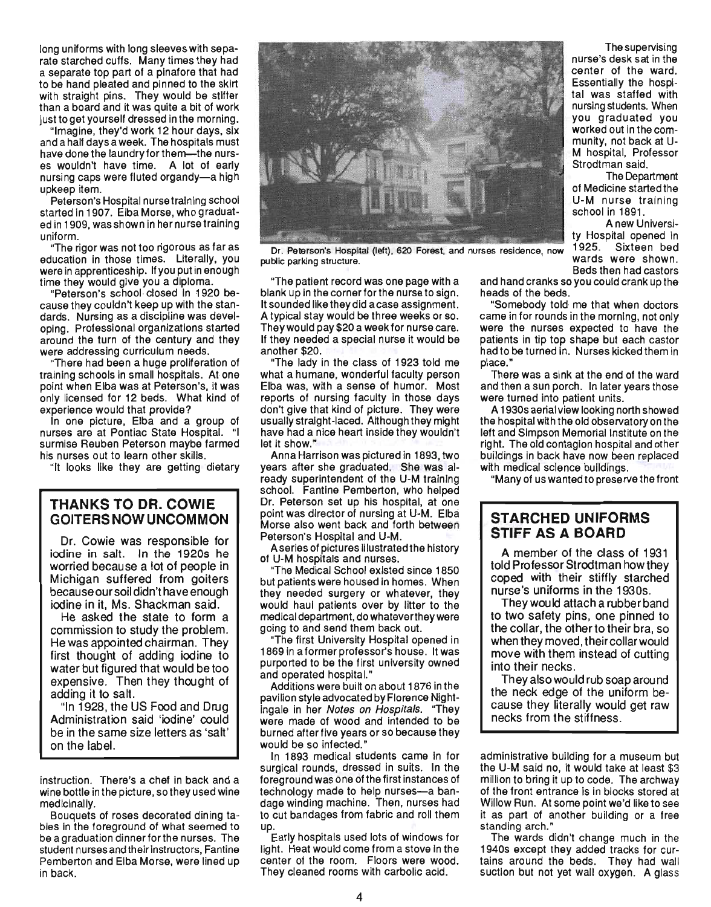long uniforms with long sleeves with separate starched cuffs. Many times they had a separate top part of a pinafore that had tobe hand pleated and pinned to the skirt with straight pins. They would be stiffer than a board and it was quite a bit of work just to get yourself dressed in the morning.

"Imagine, they'd work 12 hour days, six and a half days a week. The hospitals must have done the laundry for them-the nurses wouldn't have time. A lot of early nursing caps were fluted organdy-a high upkeep item.

Peterson's Hospital nursetraining school started in 1907. Elba Morse, who graduated in 1909, was shown in her nurse training uniform.

"The rigor was not too rigorous as far as education in those times. Literally, you were in apprenticeship. If you put in enough time they would give you a diploma.

"Peterson's school· closed in 1920 because they couldn't keep up with the standards. Nursing as a discipline was developing. Professional organizations started around the turn of the century and they were addressing curriculum needs.

"There had been a huge proliferation of training schools in small hospitals. At one point when Elba was at Peterson's, It was only licensed for 12 beds. What kind of experience would that provide?

In one picture, Elba and a group of nurses are at Pontiac State Hospital. "I surmise Reuben Peterson maybe farmed his nurses out to learn other skills.

"It looks like they are getting dietary

#### **THANKS TO DR. COWIE GOITERS NOW UNCOMMON**

Dr. Cowie was responsible for iodine in salt. In the 19205 he worried because a lot of people in Michigan suffered from goiters because our soil didn't have enough iodine in it, Ms. Shackman said.

He asked the state to form a commission to study the problem. He was appointed chairman. They first thought of adding iodine to water but figured that would be too expensive. Then they thought of adding it to salt.

"In 1928, the US Food and Drug Administration said 'iodine' could be in the same size letters as 'salt' on the label.

instruction. There's a chef in back and a wine bottle in the picture, so they used wine medicinally.

Bouquets of roses decorated dining tables In the foreground of what seemed to be a graduation dinnerforthe nurses. The student nurses and their instructors, Fantine Pemberton and Elba Morse, were lined up in back.



public parking structure. wards were shown.

"The patient record was one page with a blank up in the corner for the nurse to sign. It sounded like they did a case assignment. A typical stay would be three weeks or so. Theywould pay \$20 a week for nurse care. If they needed a special nurse it would be another \$20.

"The lady in the class of 1923 told me what a humane, wonderful faculty person Elba was, with a sense of humor. Most reports of nursing faculty in those days don't give that kind of picture. They were usually straight-laced. Although they might have had a nice heart inside they wouldn't let it show."

Anna Harrison was pictured in 1893, two years after she graduated. She was already superintendent of the U-M training school. Fantine Pemberton, who helped Dr. Peterson set up his hospital, at one point was director of nursing at U-M. Elba Morse also went back and forth between Peterson's Hospital and U-M.

Aserles of pictures illustrated the history of U-M hospitals and nurses.

"The Medical School existed since 1850 but patients were housed in homes. When they needed surgery or whatever, they would haul patients over by litter to the medical department, do whatever they were going to and send them back out.

"The first University Hospital opened in 1869 in a former professor's house. It was purported to be the first university owned and operated hospital."

Additions were built on about 1876 in the pavilion style advocated by Florence Nightingale In her Notes on Hospitals. "They were made of wood and intended to be burned after five years or so because they would be so infected.'

In 1893 medical students came in for surgical rounds, dressed in suits. In the foreground was one of the first instances of technology made to help nurses-a bandage winding machine. Then, nurses had tage minding machiner Them, harced had<br>0 Cut bandages from fabric and roll them up.<br>In

Early hospitals used lots of windows for light. Heat would come from a stove in the center of the room. Floors were wood. They cleaned rooms with carbolic acid.

The supervising nurse's desk sat in the center of the ward. Essentially the hospital was staffed with nursing students. When you graduated you worked out in the community, not back at U-M hospital, Professor Strodtman said.

The Department of Medicine started the U-M nurse training school in 1891.

A new University Hospital opened in wards were shown.<br>Beds then had castors

and hand cranks so you could crank up the heads of the beds.

"Somebody told me that when doctors came in for rounds in the morning, not only were the nurses expected to have the patients in tip top shape but each castor had to be turned in. Nurses kicked them in place."

There was a sink at the end of the ward and then a sun porch. In later years those were turned into patient units.

A 1930s aerial view looking north showed the hospital with the old observatory on the left and Simpson Memorial Institute on the right. The old contagion hospital and other buildings in back have now been replaced with medical sclence buildings.

"Many of us wanted to preserve the front

### **STARCHED UNIFORMS STIFF AS A BOARD**

A member of the class of 1931 told Professor Strodtman how they coped with their stiffly starched nurse's uniforms in the 1930s.

They would attach a rubber band to two safety pins, one pinned to the collar, the other to their bra, so when they moved, their collar would move with them instead of cutting into their necks.

They also would rub soap arou nd the neck edge of the uniform because they literally would get raw necks from the stiffness.

administrative building for a museum but the U-M said no, it would take at least \$3 million to bring it up to code. The archway of the front entrance is in blocks stored at Willow Run. At some point we'd like to see it as part of another building or a free standing arch."

The wards didn't change much in the 1940s except they added tracks for curtains around the beds. They had wall suction but not yet wall oxygen. A glass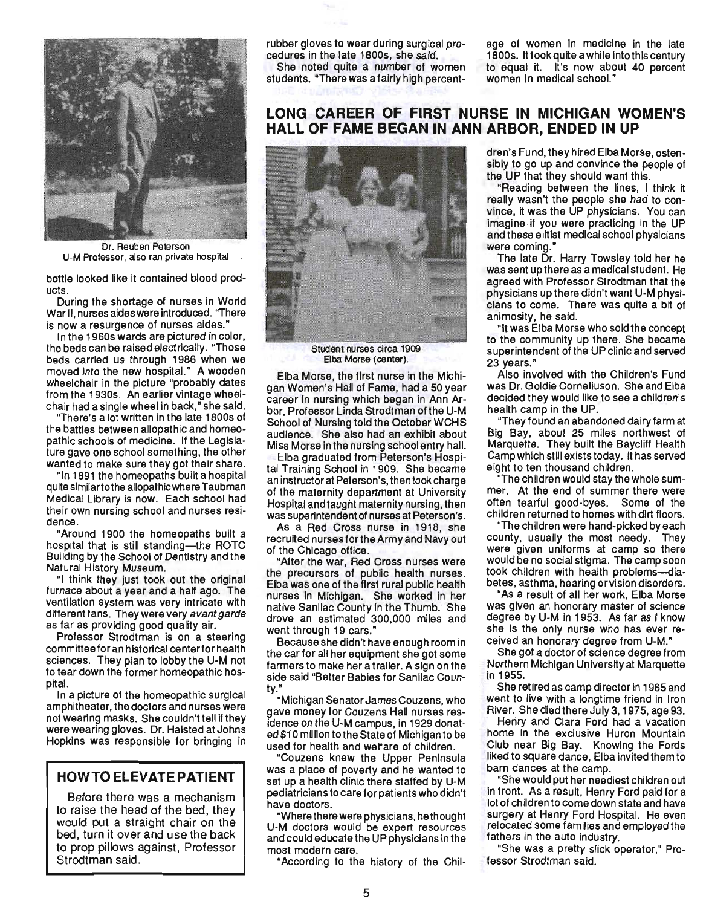

Dr. Reuben Peterson U-M Professor, also ran private hospital

bottle looked like it contained blood products.

During the shortage of nurses in World War II, nurses aides were introduced. "There is now a resurgence of nurses aides."

In the 1960s wards are pictured in color, the beds can be raised electrically. "Those beds carried us through 1986 when we moved into the new hospitaL" A wooden wheelchair in the picture "probably dates from the 1930s. An earlier vintage wheelchair had a single wheel in back," she said.

"There's a lot written in the late 1800s of the battles between allopathic and homeopathic schools of medicine. If the Legislature gave one school something, the other wanted to make sure they got their share.

"In 1891 the homeopaths built a hospital quite similar to the allopathic where Taubman Medical Library is now. Each school had their own nursing school and nurses residence.

"Around 1900 the homeopaths built a hospital that is still standing-the ROTC Building by the School of Dentistry and the Natural History Museum.

"I think they just took out the original furnace about a year and a half ago. The ventilation system was very intricate with different fans. They were very avant garde as far as providing good quality air.

Professor Strodtman is on a steering committee for an historical center for health sciences. They plan to lobby the U-M not to tear down the former homeopathic hospital.

In a picture of the homeopathic surgical amphitheater, the doctors and nurses were not wearing masks. She couldn't tell if they were wearing gloves. Dr. Halsted at Johns Hopkins was responsible for bringing in

#### **HOWTO ELEVATE PATIENT**

Before there was a mechanism to raise the head of the bed, they would put a straight chair on the bed, turn it over and use the back to prop pillows against, Professor Strodtman said.

rubber gloves to wear during surgical procedures in the late 1800s, she said.

She noted quite a number of women students. "There was a fairly high percent-

age of women in medicine in the late 1800s. It took quite a while into this century to equal it. It's now about 40 percent women in medical school."

# **LONG CAREER OF FIRST NURSE IN MICHIGAN WOMEN'S HALL OF FAME BEGAN IN ANN ARBOR, ENDED IN UP**



Student nurses circa 1909 Elba Morse {center).

Elba Morse, the first nurse in the Michigan Women's Hall of Fame, had a 50 year career in nursing which began in Ann Arbor, Professor Linda Strodtman of the U-M School of Nursing told the October WCHS audience. She also had an exhibit about Miss Morse in the nursing school entry hall.

Elba graduated from Peterson's Hospital Training School in 1909. She became an instructor at Peterson's, then took charge of the maternity department at University Hospital and taught maternity nursing, then was superintendent of nurses at Peterson's.

As a Red Cross nurse in 1918, she recruited nurses forthe Army and Navy out of the Chicago office.

"After the war, Red Cross nurses were the precursors of public health nurses. Elba was one of the first rural public health nurses in Michigan. She worked in her native Sanilac County in the Thumb. She drove an estimated 300,000 miles and went through 19 cars."

Because she didn't have enough room in the carfor all her equipment she got some farmers to make her a trailer. A sign on the side said "Better Babies for Sanilac Coun- $\sum_{i=1}^{n}$ 

"Michigan Senator James Couzens, who gave money for Couzens Hall nurses residence on the U-M campus, in 1929 donated \$10 million to the State of Michigan to be used for health and welfare of children.

"Couzens knew the Upper Peninsula was a place of poverty and he wanted to set up a health clinic there staffed by U-M pediatricians to care for patients who didn't have doctors.

"Where there were physicians, he thought U-M doctors would be expert resources and could educate the UP physicians in the most modern care.

"According to the history of the Chil-

dren's Fund, they hired Elba Morse, ostensibly to go up and convince the people of the UP that they should want this.

"Reading between the lines, I think it really wasn't the people she had to convince, it was the UP physicians. You can imagine if you were practicing in the UP and these elitist medical school physicians were coming."

The late Dr. Harry Towsley told her he was sent up there as a medical student. He agreed with Professor Strodtman that the physicians up there didn't want U-M physicians to come. There was quite a bit of animosity, he said.

"It was Elba Morse who sold the concept to the community up there. She became superintendent of the UP clinic and served 23 years."

Also involved with the Children's Fund was Dr. Goldie Corneliuson. She and Elba decided they would like to see a children's health camp in the UP.

"They found an abandoned dairy farm at Big Bay, about 25 miles northwest of Marquette. They built the Baycliff Health Camp which still exists today. It has served eight to ten thousand children.

"The children would stay the whole summer. At the end of summer there were often tearful good-byes. Some of the children returned to homes with dirt floors. children returned to homes with dirt floors.<br>The children were hand-picked by each

county, usually the most needy. They wurky, usually the most needy. They were given uniforms at camp so there<br>would be no social stigma. The camp soon took children with health problems-diabetes, asthma, hearing orvision disorders.

oo, aounna, noamg or vision uisonuois.<br>As a result of all her work, Elba Morse was a result of all fiel work, Elba WOISE ras given an nunurary master of science.<br>Iograe by U-M in 1952. As far as I know degree by U-M in 1953. As far as I know<br>she is the only nurse who has ever received an honorary degree from U-M."

She got a doctor of science degree from Northern Michigan University at Marquette in 1955.

She retired as camp director in 1965 and went to live with a longtime friend in Iron River. She died there July 3, 1975, age 93.

Henry and Clara Ford had a vacation home in the exclusive Huron Mountain Club near Big Bay. Knowing the Fords liked to square dance, Elba invited them to barn dances at the camp.

"She would put her neediest children out in front. As a result, Henry Ford paid for a lot of children to come down state and have surgery at Henry Ford Hospital. He even relocated some families and employed the procated some rammes and e fathers in the auto industry.<br>She was a pretty slick operator," Pro-

fessor Strodtman said.